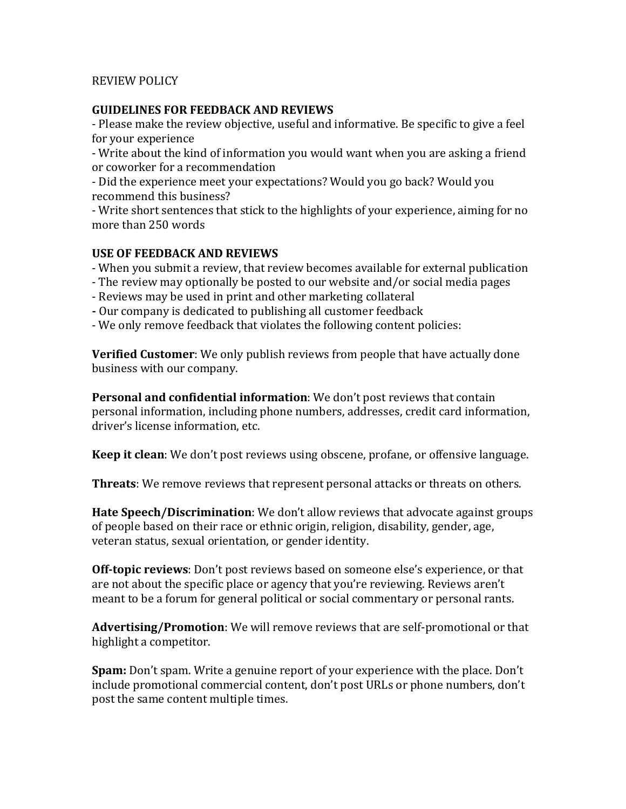## REVIEW POLICY

## **GUIDELINES FOR FEEDBACK AND REVIEWS**

- Please make the review objective, useful and informative. Be specific to give a feel for your experience

- Write about the kind of information you would want when you are asking a friend or coworker for a recommendation

- Did the experience meet your expectations? Would you go back? Would you recommend this business?

- Write short sentences that stick to the highlights of your experience, aiming for no more than 250 words

## **USE OF FEEDBACK AND REVIEWS**

- When you submit a review, that review becomes available for external publication

- The review may optionally be posted to our website and/or social media pages
- Reviews may be used in print and other marketing collateral
- **-** Our company is dedicated to publishing all customer feedback
- We only remove feedback that violates the following content policies:

**Verified Customer**: We only publish reviews from people that have actually done business with our company.

**Personal and confidential information**: We don't post reviews that contain personal information, including phone numbers, addresses, credit card information, driver's license information, etc.

**Keep it clean**: We don't post reviews using obscene, profane, or offensive language.

**Threats**: We remove reviews that represent personal attacks or threats on others.

**Hate Speech/Discrimination**: We don't allow reviews that advocate against groups of people based on their race or ethnic origin, religion, disability, gender, age, veteran status, sexual orientation, or gender identity.

**Off-topic reviews**: Don't post reviews based on someone else's experience, or that are not about the specific place or agency that you're reviewing. Reviews aren't meant to be a forum for general political or social commentary or personal rants.

**Advertising/Promotion**: We will remove reviews that are self-promotional or that highlight a competitor.

**Spam:** Don't spam. Write a genuine report of your experience with the place. Don't include promotional commercial content, don't post URLs or phone numbers, don't post the same content multiple times.